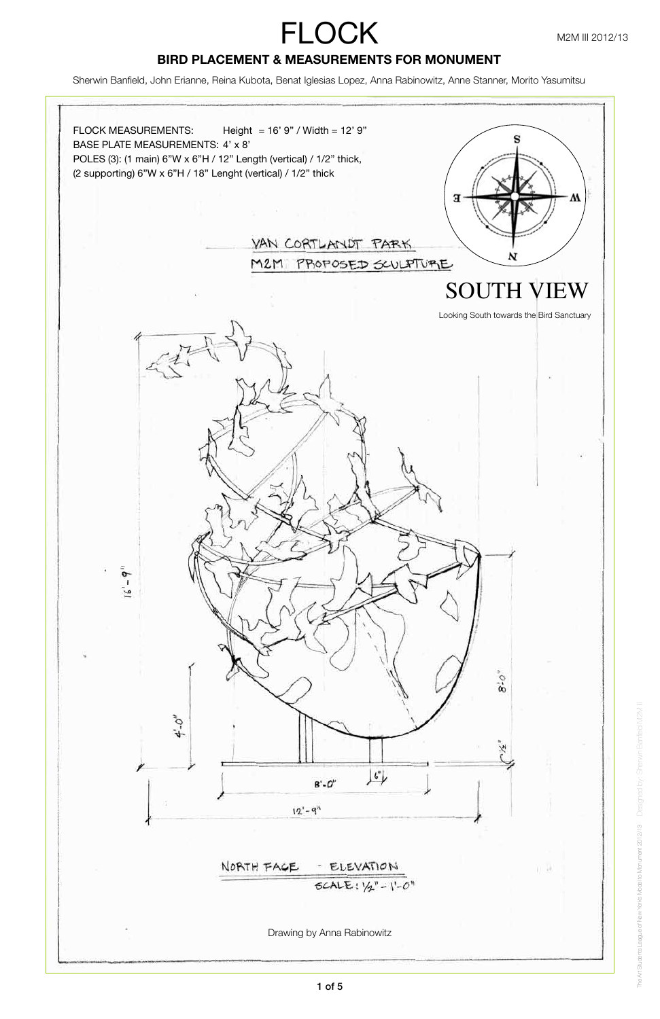Designed by: Sherwin Banfield M2M III

The Art Students League of New York's Model to Monument 2012/13

The Art Students League of New Yorks Model to Monument 2012/13 Designed by: Sherwin

Sherwin Banfield, John Erianne, Reina Kubota, Benat Iglesias Lopez, Anna Rabinowitz, Anne Stanner, Morito Yasumitsu

# **BIRD PLACEMENT & MEASUREMENTS FOR MONUMENT**

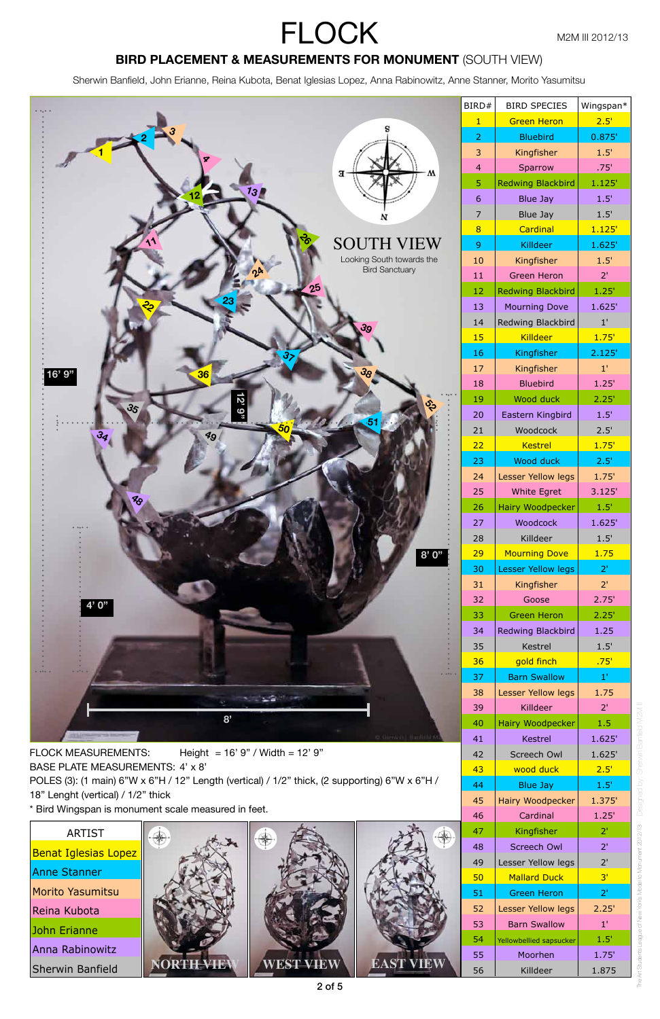Designed by: Sherwin Banfield M2M III

The Art Students League of New York's Model to Monument 2012/13

The Art Students Leegue of New York's Model to Monument 2012/13 Designed by: Sherwir

### **BIRD PLACEMENT & MEASUREMENTS FOR MONUMENT (SOUTH VIEW)**

Sherwin Banfield, John Erianne, Reina Kubota, Benat Iglesias Lopez, Anna Rabinowitz, Anne Stanner, Morito Yasumitsu



| Height = $16'9''$ / Width = $12'9''$<br><b>FLOCK MEASUREMENTS:</b><br>BASE PLATE MEASUREMENTS: 4' x 8' | 42<br>43 | Screech Owl<br>wood duck | 1.625'<br>2.5' |
|--------------------------------------------------------------------------------------------------------|----------|--------------------------|----------------|
| POLES (3): (1 main) 6"W x 6"H / 12" Length (vertical) / 1/2" thick, (2 supporting) 6"W x 6"H /         | 44       | Blue Jay                 | 1.5'           |
| 18" Lenght (vertical) / 1/2" thick                                                                     | 45       | Hairy Woodpecker         | 1.375'         |
| * Bird Wingspan is monument scale measured in feet.                                                    | 46       | Cardinal                 | 1.25'          |
| <b>ARTIST</b>                                                                                          | 47       | Kingfisher               | 2 <sup>1</sup> |
| <b>Benat Iglesias Lopez</b>                                                                            | 48       | Screech Owl              | 2 <sup>1</sup> |
|                                                                                                        | 49       | Lesser Yellow legs       | 2'             |
| Anne Stanner                                                                                           | 50       | <b>Mallard Duck</b>      | 3 <sup>1</sup> |
| Morito Yasumitsu                                                                                       | 51       | <b>Green Heron</b>       | $2^{\circ}$    |
| Reina Kubota                                                                                           | 52       | Lesser Yellow legs       | 2.25'          |
| John Erianne                                                                                           | 53       | <b>Barn Swallow</b>      | $1^{\prime}$   |
|                                                                                                        | 54       | Yellowbellied sapsucker  | 1.5'           |
| Anna Rabinowitz                                                                                        | 55       | Moorhen                  | 1.75'          |
| <b>RTHEVIEW</b><br><b>EST VIEW</b><br>EAST VIEV<br><b>Sherwin Banfield</b>                             | 56       | Killdeer                 | 1.875          |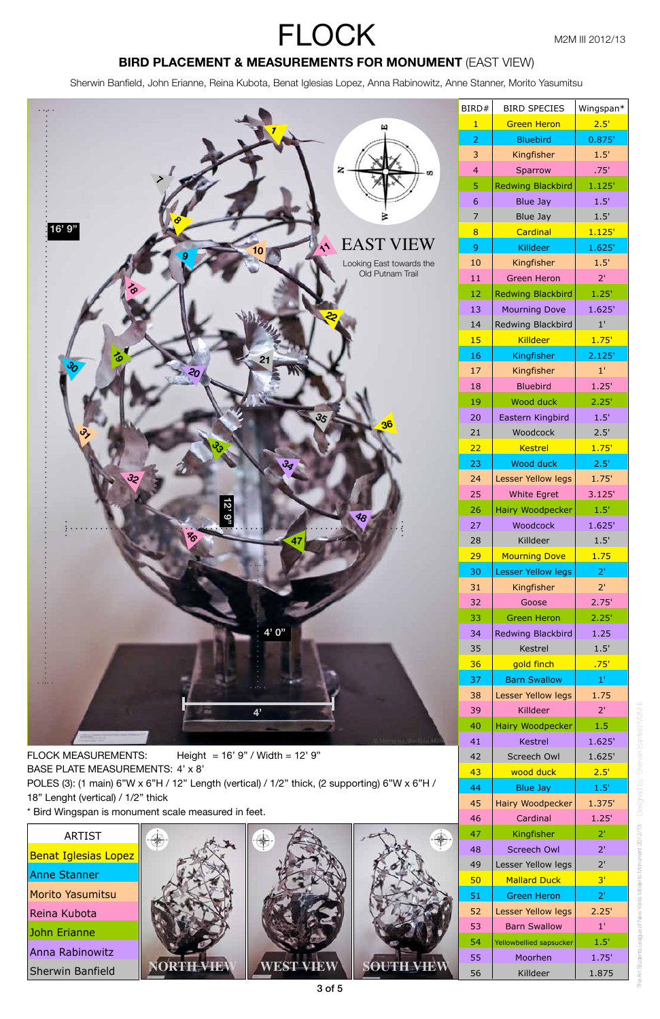Designed by: Sherwin Banfield M2M III

N2M I

The Art Students League of New York's Model to Monument 2012/13

The Art Students League of New Yorks Model to Monument 2012/13 Designed by: Sherwin

## **BIRD PLACEMENT & MEASUREMENTS FOR MONUMENT (EAST VIEW)**

Sherwin Banfield, John Erianne, Reina Kubota, Benat Iglesias Lopez, Anna Rabinowitz, Anne Stanner, Morito Yasumitsu

| Height = $16'$ 9" / Width = $12'$ 9"<br><b>FLOCK MEASUREMENTS:</b>                             |        |  | 42         | Screech Owl      | 1.625'                  |                |
|------------------------------------------------------------------------------------------------|--------|--|------------|------------------|-------------------------|----------------|
| BASE PLATE MEASUREMENTS: 4' x 8'                                                               |        |  | 43         | wood duck        | 2.5'                    |                |
| POLES (3): (1 main) 6"W x 6"H / 12" Length (vertical) / 1/2" thick, (2 supporting) 6"W x 6"H / |        |  | 44         | <b>Blue Jay</b>  | 1.5'                    |                |
| 18" Lenght (vertical) / 1/2" thick                                                             |        |  | 45         | Hairy Woodpecker | 1.375'                  |                |
| * Bird Wingspan is monument scale measured in feet.                                            |        |  | 46         | Cardinal         | 1.25'                   |                |
| <b>ARTIST</b>                                                                                  |        |  |            | 47               | Kingfisher              | 2 <sup>1</sup> |
| <b>Benat Iglesias Lopez</b>                                                                    |        |  |            | 48               | Screech Owl             | 2 <sup>T</sup> |
|                                                                                                |        |  |            | 49               | Lesser Yellow legs      | 2'             |
| Anne Stanner                                                                                   |        |  |            | 50               | <b>Mallard Duck</b>     | 3'             |
| Morito Yasumitsu                                                                               |        |  |            | 51               | <b>Green Heron</b>      | 2 <sup>1</sup> |
| Reina Kubota                                                                                   |        |  |            | 52               | Lesser Yellow legs      | 2.25'          |
| John Erianne                                                                                   |        |  |            | 53               | <b>Barn Swallow</b>     | $1^{\prime}$   |
|                                                                                                |        |  |            | 54               | Yellowbellied sapsucker | 1.5'           |
| Anna Rabinowitz                                                                                |        |  |            | 55               | Moorhen                 | 1.75'          |
| <b>Sherwin Banfield</b>                                                                        | H VIEV |  | SOUTH VIEV | 56               | Killdeer                | 1.875          |



3 of 5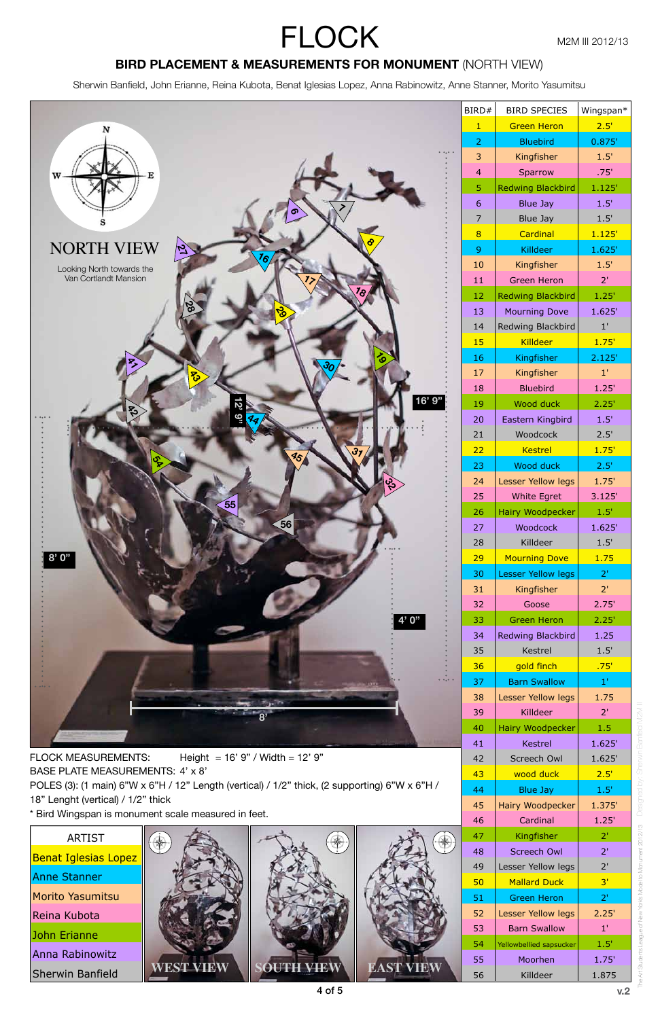Sherwin Banfield, John Erianne, Reina Kubota, Benat Iglesias Lopez, Anna Rabinowitz, Anne Stanner, Morito Yasumitsu

 Screech Owl 1.625' 43 | wood duck | 2.5' Blue Jay 1.5' 45 | Hairy Woodpecker | 1.375' Cardinal 1.25' 47 | Kingfisher | 2' 48 | Screech Owl | 2' 49 | Lesser Yellow legs | 2' 50 | Mallard Duck | 3' 51 | Green Heron | 2' 52 | Lesser Yellow legs | 2.25' 53 | Barn Swallow | 1' 54 | Yellowbellied sapsucker | 1.5' Moorhen 1.75' 56 | Killdeer | 1.875



FLOCK MEASUREMENTS: Height = 16' 9" / Width = 12' 9" BASE PLATE MEASUREMENTS: 4' x 8'

POLES (3): (1 main) 6"W x 6"H / 12" Length (vertical) / 1/2" thick, (2 supporting) 6"W x 6"H / 18" Lenght (vertical) / 1/2" thick

\* Bird Wingspan is monument scale measured in feet.

FLOCK M2M III 2012/13

#### **BIRD PLACEMENT & MEASUREMENTS FOR MONUMENT** (NORTH VIEW)